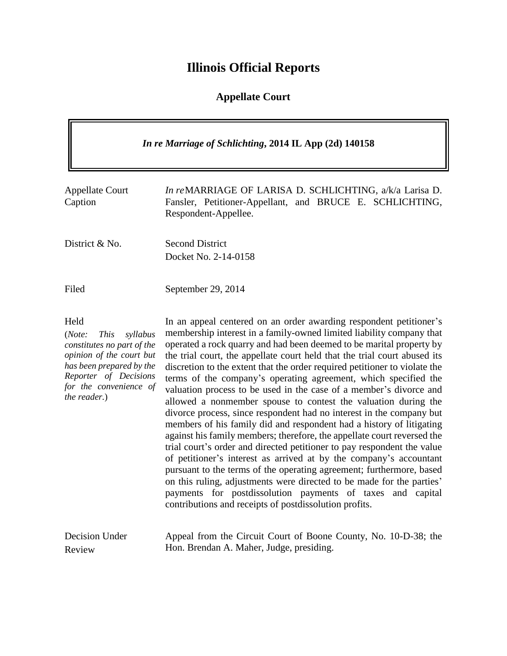# **Illinois Official Reports**

# **Appellate Court**

| In re Marriage of Schlichting, 2014 IL App (2d) 140158                                                                                                                                             |                                                                                                                                                                                                                                                                                                                                                                                                                                                                                                                                                                                                                                                                                                                                                                                                                                                                                                                                                                                                                                                                                                                                                                                                                                               |  |
|----------------------------------------------------------------------------------------------------------------------------------------------------------------------------------------------------|-----------------------------------------------------------------------------------------------------------------------------------------------------------------------------------------------------------------------------------------------------------------------------------------------------------------------------------------------------------------------------------------------------------------------------------------------------------------------------------------------------------------------------------------------------------------------------------------------------------------------------------------------------------------------------------------------------------------------------------------------------------------------------------------------------------------------------------------------------------------------------------------------------------------------------------------------------------------------------------------------------------------------------------------------------------------------------------------------------------------------------------------------------------------------------------------------------------------------------------------------|--|
| <b>Appellate Court</b><br>Caption                                                                                                                                                                  | In reMARRIAGE OF LARISA D. SCHLICHTING, a/k/a Larisa D.<br>Fansler, Petitioner-Appellant, and BRUCE E. SCHLICHTING,<br>Respondent-Appellee.                                                                                                                                                                                                                                                                                                                                                                                                                                                                                                                                                                                                                                                                                                                                                                                                                                                                                                                                                                                                                                                                                                   |  |
| District & No.                                                                                                                                                                                     | <b>Second District</b><br>Docket No. 2-14-0158                                                                                                                                                                                                                                                                                                                                                                                                                                                                                                                                                                                                                                                                                                                                                                                                                                                                                                                                                                                                                                                                                                                                                                                                |  |
| Filed                                                                                                                                                                                              | September 29, 2014                                                                                                                                                                                                                                                                                                                                                                                                                                                                                                                                                                                                                                                                                                                                                                                                                                                                                                                                                                                                                                                                                                                                                                                                                            |  |
| Held<br>(Note:<br><b>This</b><br>syllabus<br>constitutes no part of the<br>opinion of the court but<br>has been prepared by the<br>Reporter of Decisions<br>for the convenience of<br>the reader.) | In an appeal centered on an order awarding respondent petitioner's<br>membership interest in a family-owned limited liability company that<br>operated a rock quarry and had been deemed to be marital property by<br>the trial court, the appellate court held that the trial court abused its<br>discretion to the extent that the order required petitioner to violate the<br>terms of the company's operating agreement, which specified the<br>valuation process to be used in the case of a member's divorce and<br>allowed a nonmember spouse to contest the valuation during the<br>divorce process, since respondent had no interest in the company but<br>members of his family did and respondent had a history of litigating<br>against his family members; therefore, the appellate court reversed the<br>trial court's order and directed petitioner to pay respondent the value<br>of petitioner's interest as arrived at by the company's accountant<br>pursuant to the terms of the operating agreement; furthermore, based<br>on this ruling, adjustments were directed to be made for the parties'<br>payments for postdissolution payments of taxes and capital<br>contributions and receipts of postdissolution profits. |  |
| Decision Under<br>Review                                                                                                                                                                           | Appeal from the Circuit Court of Boone County, No. 10-D-38; the<br>Hon. Brendan A. Maher, Judge, presiding.                                                                                                                                                                                                                                                                                                                                                                                                                                                                                                                                                                                                                                                                                                                                                                                                                                                                                                                                                                                                                                                                                                                                   |  |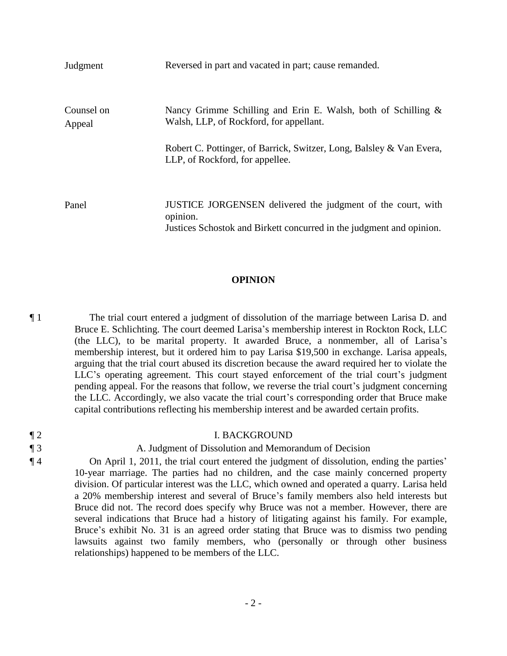| Judgment             | Reversed in part and vacated in part; cause remanded.                                                                                           |
|----------------------|-------------------------------------------------------------------------------------------------------------------------------------------------|
| Counsel on<br>Appeal | Nancy Grimme Schilling and Erin E. Walsh, both of Schilling $\&$<br>Walsh, LLP, of Rockford, for appellant.                                     |
|                      | Robert C. Pottinger, of Barrick, Switzer, Long, Balsley & Van Evera,<br>LLP, of Rockford, for appellee.                                         |
| Panel                | JUSTICE JORGENSEN delivered the judgment of the court, with<br>opinion.<br>Justices Schostok and Birkett concurred in the judgment and opinion. |

#### **OPINION**

¶ 1 The trial court entered a judgment of dissolution of the marriage between Larisa D. and Bruce E. Schlichting. The court deemed Larisa's membership interest in Rockton Rock, LLC (the LLC), to be marital property. It awarded Bruce, a nonmember, all of Larisa's membership interest, but it ordered him to pay Larisa \$19,500 in exchange. Larisa appeals, arguing that the trial court abused its discretion because the award required her to violate the LLC's operating agreement. This court stayed enforcement of the trial court's judgment pending appeal. For the reasons that follow, we reverse the trial court's judgment concerning the LLC. Accordingly, we also vacate the trial court's corresponding order that Bruce make capital contributions reflecting his membership interest and be awarded certain profits.

| $\P$ 2 | <b>I. BACKGROUND</b>                                                                                          |
|--------|---------------------------------------------------------------------------------------------------------------|
| $\P_3$ | A. Judgment of Dissolution and Memorandum of Decision                                                         |
| $\P$ 4 | On April 1, 2011, the trial court entered the judgment of dissolution, ending the parties'                    |
|        | 10-year marriage. The parties had no children, and the case mainly concerned property                         |
|        | division. Of particular interest was the LLC, which owned and operated a quarry. Larisa held                  |
|        | a 20% membership interest and several of Bruce's family members also held interests but                       |
|        | Bruce did not. The record does specify why Bruce was not a member. However, there are                         |
|        | assemble dia dia sebagai besti Dungan bagi ang bertaman after tidak dia ang dia dia dia dia dia manggapun dia |

several indications that Bruce had a history of litigating against his family. For example, Bruce's exhibit No. 31 is an agreed order stating that Bruce was to dismiss two pending lawsuits against two family members, who (personally or through other business relationships) happened to be members of the LLC.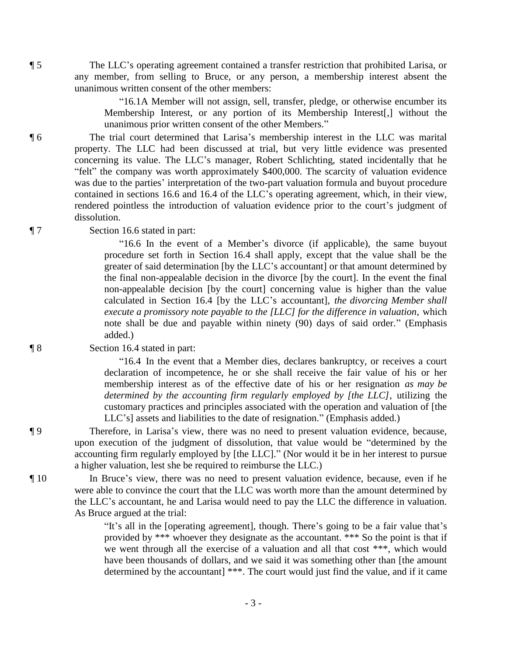¶ 5 The LLC's operating agreement contained a transfer restriction that prohibited Larisa, or any member, from selling to Bruce, or any person, a membership interest absent the unanimous written consent of the other members:

> "16.1A Member will not assign, sell, transfer, pledge, or otherwise encumber its Membership Interest, or any portion of its Membership Interest[,] without the unanimous prior written consent of the other Members."

¶ 6 The trial court determined that Larisa's membership interest in the LLC was marital property. The LLC had been discussed at trial, but very little evidence was presented concerning its value. The LLC's manager, Robert Schlichting, stated incidentally that he "felt" the company was worth approximately \$400,000. The scarcity of valuation evidence was due to the parties' interpretation of the two-part valuation formula and buyout procedure contained in sections 16.6 and 16.4 of the LLC's operating agreement, which, in their view, rendered pointless the introduction of valuation evidence prior to the court's judgment of dissolution.

¶ 7 Section 16.6 stated in part:

"16.6 In the event of a Member's divorce (if applicable), the same buyout procedure set forth in Section 16.4 shall apply, except that the value shall be the greater of said determination [by the LLC's accountant] or that amount determined by the final non-appealable decision in the divorce [by the court]. In the event the final non-appealable decision [by the court] concerning value is higher than the value calculated in Section 16.4 [by the LLC's accountant], *the divorcing Member shall execute a promissory note payable to the [LLC] for the difference in valuation*, which note shall be due and payable within ninety (90) days of said order." (Emphasis added.)

#### ¶ 8 Section 16.4 stated in part:

"16.4 In the event that a Member dies, declares bankruptcy, or receives a court declaration of incompetence, he or she shall receive the fair value of his or her membership interest as of the effective date of his or her resignation *as may be determined by the accounting firm regularly employed by [the LLC]*, utilizing the customary practices and principles associated with the operation and valuation of [the LLC's] assets and liabilities to the date of resignation." (Emphasis added.)

¶ 9 Therefore, in Larisa's view, there was no need to present valuation evidence, because, upon execution of the judgment of dissolution, that value would be "determined by the accounting firm regularly employed by [the LLC]." (Nor would it be in her interest to pursue a higher valuation, lest she be required to reimburse the LLC.)

¶ 10 In Bruce's view, there was no need to present valuation evidence, because, even if he were able to convince the court that the LLC was worth more than the amount determined by the LLC's accountant, he and Larisa would need to pay the LLC the difference in valuation. As Bruce argued at the trial:

> "It's all in the [operating agreement], though. There's going to be a fair value that's provided by \*\*\* whoever they designate as the accountant. \*\*\* So the point is that if we went through all the exercise of a valuation and all that cost \*\*\*, which would have been thousands of dollars, and we said it was something other than [the amount determined by the accountant] \*\*\*. The court would just find the value, and if it came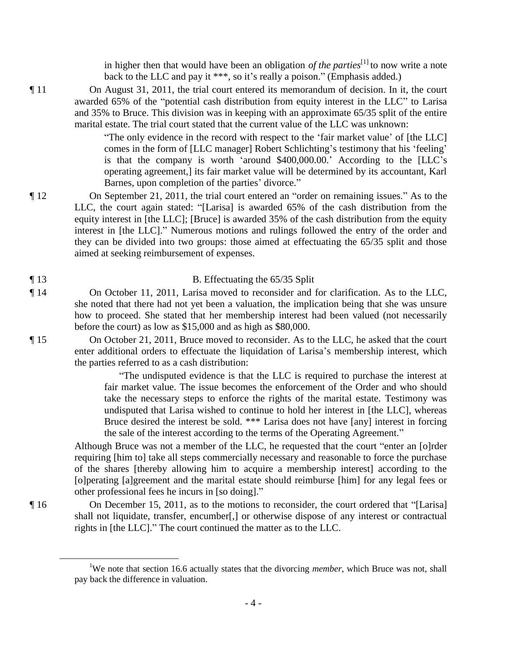in higher then that would have been an obligation *of the parties*[1] to now write a note back to the LLC and pay it \*\*\*, so it's really a poison." (Emphasis added.)

¶ 11 On August 31, 2011, the trial court entered its memorandum of decision. In it, the court awarded 65% of the "potential cash distribution from equity interest in the LLC" to Larisa and 35% to Bruce. This division was in keeping with an approximate 65/35 split of the entire marital estate. The trial court stated that the current value of the LLC was unknown:

> "The only evidence in the record with respect to the 'fair market value' of [the LLC] comes in the form of [LLC manager] Robert Schlichting's testimony that his 'feeling' is that the company is worth 'around \$400,000.00.' According to the [LLC's operating agreement,] its fair market value will be determined by its accountant, Karl Barnes, upon completion of the parties' divorce."

¶ 12 On September 21, 2011, the trial court entered an "order on remaining issues." As to the LLC, the court again stated: "[Larisa] is awarded 65% of the cash distribution from the equity interest in [the LLC]; [Bruce] is awarded 35% of the cash distribution from the equity interest in [the LLC]." Numerous motions and rulings followed the entry of the order and they can be divided into two groups: those aimed at effectuating the 65/35 split and those aimed at seeking reimbursement of expenses.

## ¶ 13 B. Effectuating the 65/35 Split

¶ 14 On October 11, 2011, Larisa moved to reconsider and for clarification. As to the LLC, she noted that there had not yet been a valuation, the implication being that she was unsure how to proceed. She stated that her membership interest had been valued (not necessarily before the court) as low as \$15,000 and as high as \$80,000.

¶ 15 On October 21, 2011, Bruce moved to reconsider. As to the LLC, he asked that the court enter additional orders to effectuate the liquidation of Larisa's membership interest, which the parties referred to as a cash distribution:

> "The undisputed evidence is that the LLC is required to purchase the interest at fair market value. The issue becomes the enforcement of the Order and who should take the necessary steps to enforce the rights of the marital estate. Testimony was undisputed that Larisa wished to continue to hold her interest in [the LLC], whereas Bruce desired the interest be sold. \*\*\* Larisa does not have [any] interest in forcing the sale of the interest according to the terms of the Operating Agreement."

Although Bruce was not a member of the LLC, he requested that the court "enter an [o]rder requiring [him to] take all steps commercially necessary and reasonable to force the purchase of the shares [thereby allowing him to acquire a membership interest] according to the [o]perating [a]greement and the marital estate should reimburse [him] for any legal fees or other professional fees he incurs in [so doing]."

¶ 16 On December 15, 2011, as to the motions to reconsider, the court ordered that "[Larisa] shall not liquidate, transfer, encumber[,] or otherwise dispose of any interest or contractual rights in [the LLC]." The court continued the matter as to the LLC.

- 4 -

 $\overline{a}$ 

<sup>1</sup>We note that section 16.6 actually states that the divorcing *member*, which Bruce was not, shall pay back the difference in valuation.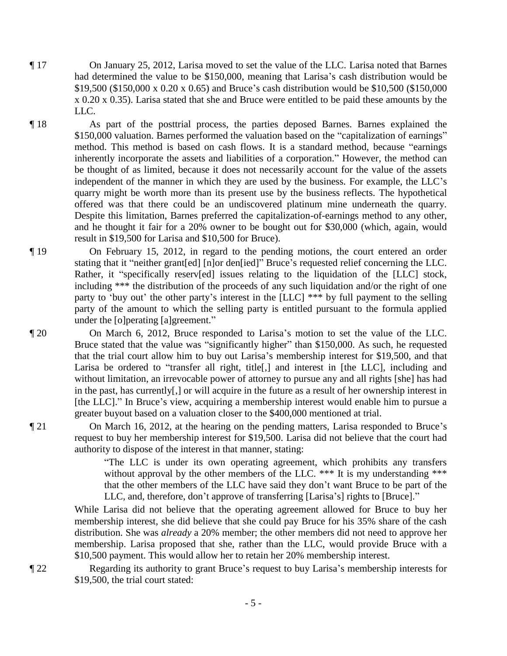- ¶ 17 On January 25, 2012, Larisa moved to set the value of the LLC. Larisa noted that Barnes had determined the value to be \$150,000, meaning that Larisa's cash distribution would be \$19,500 (\$150,000 x 0.20 x 0.65) and Bruce's cash distribution would be \$10,500 (\$150,000 x 0.20 x 0.35). Larisa stated that she and Bruce were entitled to be paid these amounts by the LLC.
- ¶ 18 As part of the posttrial process, the parties deposed Barnes. Barnes explained the \$150,000 valuation. Barnes performed the valuation based on the "capitalization of earnings" method. This method is based on cash flows. It is a standard method, because "earnings inherently incorporate the assets and liabilities of a corporation." However, the method can be thought of as limited, because it does not necessarily account for the value of the assets independent of the manner in which they are used by the business. For example, the LLC's quarry might be worth more than its present use by the business reflects. The hypothetical offered was that there could be an undiscovered platinum mine underneath the quarry. Despite this limitation, Barnes preferred the capitalization-of-earnings method to any other, and he thought it fair for a 20% owner to be bought out for \$30,000 (which, again, would result in \$19,500 for Larisa and \$10,500 for Bruce).
- ¶ 19 On February 15, 2012, in regard to the pending motions, the court entered an order stating that it "neither grant[ed] [n]or den[ied]" Bruce's requested relief concerning the LLC. Rather, it "specifically reserv[ed] issues relating to the liquidation of the [LLC] stock, including \*\*\* the distribution of the proceeds of any such liquidation and/or the right of one party to 'buy out' the other party's interest in the [LLC] \*\*\* by full payment to the selling party of the amount to which the selling party is entitled pursuant to the formula applied under the [o]perating [a]greement."
- ¶ 20 On March 6, 2012, Bruce responded to Larisa's motion to set the value of the LLC. Bruce stated that the value was "significantly higher" than \$150,000. As such, he requested that the trial court allow him to buy out Larisa's membership interest for \$19,500, and that Larisa be ordered to "transfer all right, title[,] and interest in [the LLC], including and without limitation, an irrevocable power of attorney to pursue any and all rights [she] has had in the past, has currently[,] or will acquire in the future as a result of her ownership interest in [the LLC]." In Bruce's view, acquiring a membership interest would enable him to pursue a greater buyout based on a valuation closer to the \$400,000 mentioned at trial.

¶ 21 On March 16, 2012, at the hearing on the pending matters, Larisa responded to Bruce's request to buy her membership interest for \$19,500. Larisa did not believe that the court had authority to dispose of the interest in that manner, stating:

> "The LLC is under its own operating agreement, which prohibits any transfers without approval by the other members of the LLC. \*\*\* It is my understanding \*\*\* that the other members of the LLC have said they don't want Bruce to be part of the LLC, and, therefore, don't approve of transferring [Larisa's] rights to [Bruce]."

While Larisa did not believe that the operating agreement allowed for Bruce to buy her membership interest, she did believe that she could pay Bruce for his 35% share of the cash distribution. She was *already* a 20% member; the other members did not need to approve her membership. Larisa proposed that she, rather than the LLC, would provide Bruce with a \$10,500 payment. This would allow her to retain her 20% membership interest.

¶ 22 Regarding its authority to grant Bruce's request to buy Larisa's membership interests for \$19,500, the trial court stated: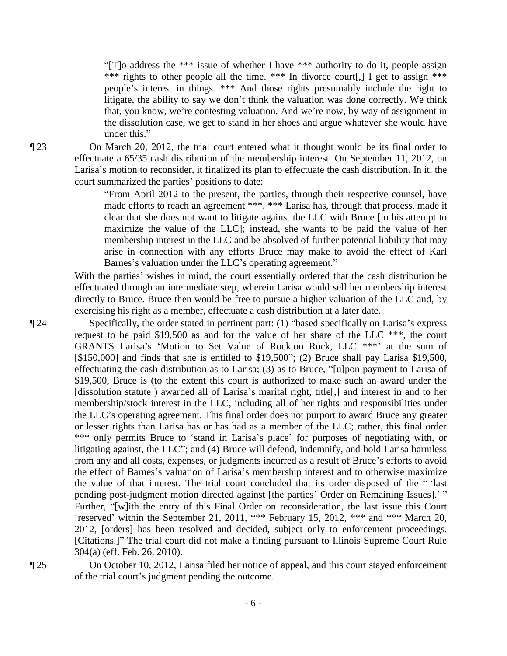"[T]o address the \*\*\* issue of whether I have \*\*\* authority to do it, people assign \*\*\* rights to other people all the time. \*\*\* In divorce court[,] I get to assign \*\*\* people's interest in things. \*\*\* And those rights presumably include the right to litigate, the ability to say we don't think the valuation was done correctly. We think that, you know, we're contesting valuation. And we're now, by way of assignment in the dissolution case, we get to stand in her shoes and argue whatever she would have under this."

¶ 23 On March 20, 2012, the trial court entered what it thought would be its final order to effectuate a 65/35 cash distribution of the membership interest. On September 11, 2012, on Larisa's motion to reconsider, it finalized its plan to effectuate the cash distribution. In it, the court summarized the parties' positions to date:

> "From April 2012 to the present, the parties, through their respective counsel, have made efforts to reach an agreement \*\*\*. \*\*\* Larisa has, through that process, made it clear that she does not want to litigate against the LLC with Bruce [in his attempt to maximize the value of the LLC]; instead, she wants to be paid the value of her membership interest in the LLC and be absolved of further potential liability that may arise in connection with any efforts Bruce may make to avoid the effect of Karl Barnes's valuation under the LLC's operating agreement."

With the parties' wishes in mind, the court essentially ordered that the cash distribution be effectuated through an intermediate step, wherein Larisa would sell her membership interest directly to Bruce. Bruce then would be free to pursue a higher valuation of the LLC and, by exercising his right as a member, effectuate a cash distribution at a later date.

¶ 24 Specifically, the order stated in pertinent part: (1) "based specifically on Larisa's express request to be paid \$19,500 as and for the value of her share of the LLC \*\*\*, the court GRANTS Larisa's 'Motion to Set Value of Rockton Rock, LLC \*\*\*' at the sum of [\$150,000] and finds that she is entitled to \$19,500"; (2) Bruce shall pay Larisa \$19,500, effectuating the cash distribution as to Larisa; (3) as to Bruce, "[u]pon payment to Larisa of \$19,500, Bruce is (to the extent this court is authorized to make such an award under the [dissolution statute]) awarded all of Larisa's marital right, title[,] and interest in and to her membership/stock interest in the LLC, including all of her rights and responsibilities under the LLC's operating agreement. This final order does not purport to award Bruce any greater or lesser rights than Larisa has or has had as a member of the LLC; rather, this final order \*\*\* only permits Bruce to 'stand in Larisa's place' for purposes of negotiating with, or litigating against, the LLC"; and (4) Bruce will defend, indemnify, and hold Larisa harmless from any and all costs, expenses, or judgments incurred as a result of Bruce's efforts to avoid the effect of Barnes's valuation of Larisa's membership interest and to otherwise maximize the value of that interest. The trial court concluded that its order disposed of the " 'last pending post-judgment motion directed against [the parties' Order on Remaining Issues].' " Further, "[w]ith the entry of this Final Order on reconsideration, the last issue this Court 'reserved' within the September 21, 2011, \*\*\* February 15, 2012, \*\*\* and \*\*\* March 20, 2012, [orders] has been resolved and decided, subject only to enforcement proceedings. [Citations.]" The trial court did not make a finding pursuant to Illinois Supreme Court Rule 304(a) (eff. Feb. 26, 2010).

¶ 25 On October 10, 2012, Larisa filed her notice of appeal, and this court stayed enforcement of the trial court's judgment pending the outcome.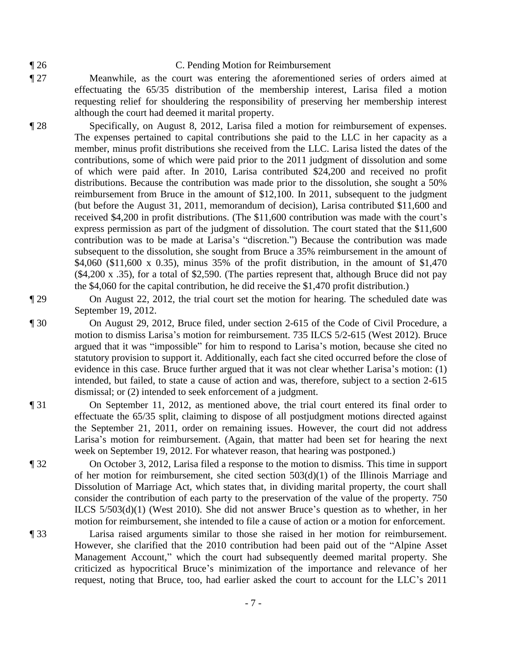#### ¶ 26 C. Pending Motion for Reimbursement

¶ 27 Meanwhile, as the court was entering the aforementioned series of orders aimed at effectuating the 65/35 distribution of the membership interest, Larisa filed a motion requesting relief for shouldering the responsibility of preserving her membership interest although the court had deemed it marital property.

¶ 28 Specifically, on August 8, 2012, Larisa filed a motion for reimbursement of expenses. The expenses pertained to capital contributions she paid to the LLC in her capacity as a member, minus profit distributions she received from the LLC. Larisa listed the dates of the contributions, some of which were paid prior to the 2011 judgment of dissolution and some of which were paid after. In 2010, Larisa contributed \$24,200 and received no profit distributions. Because the contribution was made prior to the dissolution, she sought a 50% reimbursement from Bruce in the amount of \$12,100. In 2011, subsequent to the judgment (but before the August 31, 2011, memorandum of decision), Larisa contributed \$11,600 and received \$4,200 in profit distributions. (The \$11,600 contribution was made with the court's express permission as part of the judgment of dissolution. The court stated that the \$11,600 contribution was to be made at Larisa's "discretion.") Because the contribution was made subsequent to the dissolution, she sought from Bruce a 35% reimbursement in the amount of \$4,060 (\$11,600 x 0.35), minus 35% of the profit distribution, in the amount of \$1,470 (\$4,200 x .35), for a total of \$2,590. (The parties represent that, although Bruce did not pay the \$4,060 for the capital contribution, he did receive the \$1,470 profit distribution.)

¶ 29 On August 22, 2012, the trial court set the motion for hearing. The scheduled date was September 19, 2012.

- ¶ 30 On August 29, 2012, Bruce filed, under section 2-615 of the Code of Civil Procedure, a motion to dismiss Larisa's motion for reimbursement. 735 ILCS 5/2-615 (West 2012). Bruce argued that it was "impossible" for him to respond to Larisa's motion, because she cited no statutory provision to support it. Additionally, each fact she cited occurred before the close of evidence in this case. Bruce further argued that it was not clear whether Larisa's motion: (1) intended, but failed, to state a cause of action and was, therefore, subject to a section 2-615 dismissal; or (2) intended to seek enforcement of a judgment.
- ¶ 31 On September 11, 2012, as mentioned above, the trial court entered its final order to effectuate the 65/35 split, claiming to dispose of all postjudgment motions directed against the September 21, 2011, order on remaining issues. However, the court did not address Larisa's motion for reimbursement. (Again, that matter had been set for hearing the next week on September 19, 2012. For whatever reason, that hearing was postponed.)
- ¶ 32 On October 3, 2012, Larisa filed a response to the motion to dismiss. This time in support of her motion for reimbursement, she cited section 503(d)(1) of the Illinois Marriage and Dissolution of Marriage Act, which states that, in dividing marital property, the court shall consider the contribution of each party to the preservation of the value of the property. 750 ILCS 5/503(d)(1) (West 2010). She did not answer Bruce's question as to whether, in her motion for reimbursement, she intended to file a cause of action or a motion for enforcement.
- ¶ 33 Larisa raised arguments similar to those she raised in her motion for reimbursement. However, she clarified that the 2010 contribution had been paid out of the "Alpine Asset Management Account," which the court had subsequently deemed marital property. She criticized as hypocritical Bruce's minimization of the importance and relevance of her request, noting that Bruce, too, had earlier asked the court to account for the LLC's 2011

- 7 -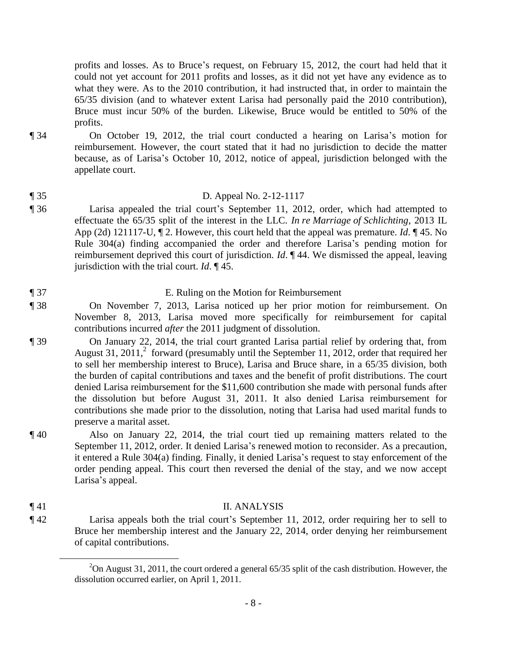profits and losses. As to Bruce's request, on February 15, 2012, the court had held that it could not yet account for 2011 profits and losses, as it did not yet have any evidence as to what they were. As to the 2010 contribution, it had instructed that, in order to maintain the 65/35 division (and to whatever extent Larisa had personally paid the 2010 contribution), Bruce must incur 50% of the burden. Likewise, Bruce would be entitled to 50% of the profits.

- ¶ 34 On October 19, 2012, the trial court conducted a hearing on Larisa's motion for reimbursement. However, the court stated that it had no jurisdiction to decide the matter because, as of Larisa's October 10, 2012, notice of appeal, jurisdiction belonged with the appellate court.
- ¶ 35 D. Appeal No. 2-12-1117
- ¶ 36 Larisa appealed the trial court's September 11, 2012, order, which had attempted to effectuate the 65/35 split of the interest in the LLC. *In re Marriage of Schlichting*, 2013 IL App (2d) 121117-U, ¶ 2. However, this court held that the appeal was premature. *Id*. ¶ 45. No Rule 304(a) finding accompanied the order and therefore Larisa's pending motion for reimbursement deprived this court of jurisdiction. *Id*. ¶ 44. We dismissed the appeal, leaving jurisdiction with the trial court. *Id*. ¶ 45.
- ¶ 37 E. Ruling on the Motion for Reimbursement ¶ 38 On November 7, 2013, Larisa noticed up her prior motion for reimbursement. On November 8, 2013, Larisa moved more specifically for reimbursement for capital contributions incurred *after* the 2011 judgment of dissolution.
- ¶ 39 On January 22, 2014, the trial court granted Larisa partial relief by ordering that, from August 31, 2011,<sup>2</sup> forward (presumably until the September 11, 2012, order that required her to sell her membership interest to Bruce), Larisa and Bruce share, in a 65/35 division, both the burden of capital contributions and taxes and the benefit of profit distributions. The court denied Larisa reimbursement for the \$11,600 contribution she made with personal funds after the dissolution but before August 31, 2011. It also denied Larisa reimbursement for contributions she made prior to the dissolution, noting that Larisa had used marital funds to preserve a marital asset.
- ¶ 40 Also on January 22, 2014, the trial court tied up remaining matters related to the September 11, 2012, order. It denied Larisa's renewed motion to reconsider. As a precaution, it entered a Rule 304(a) finding. Finally, it denied Larisa's request to stay enforcement of the order pending appeal. This court then reversed the denial of the stay, and we now accept Larisa's appeal.
- ¶ 41 II. ANALYSIS

 $\overline{a}$ 

¶ 42 Larisa appeals both the trial court's September 11, 2012, order requiring her to sell to Bruce her membership interest and the January 22, 2014, order denying her reimbursement of capital contributions.

<sup>&</sup>lt;sup>2</sup>On August 31, 2011, the court ordered a general 65/35 split of the cash distribution. However, the dissolution occurred earlier, on April 1, 2011.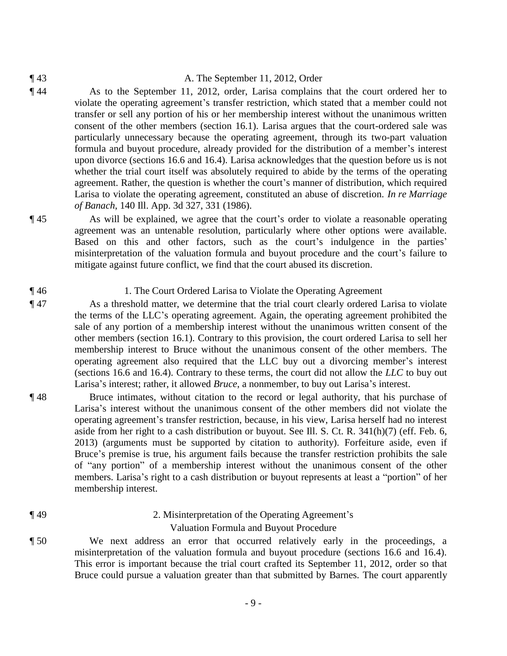- ¶ 43 A. The September 11, 2012, Order
- ¶ 44 As to the September 11, 2012, order, Larisa complains that the court ordered her to violate the operating agreement's transfer restriction, which stated that a member could not transfer or sell any portion of his or her membership interest without the unanimous written consent of the other members (section 16.1). Larisa argues that the court-ordered sale was particularly unnecessary because the operating agreement, through its two-part valuation formula and buyout procedure, already provided for the distribution of a member's interest upon divorce (sections 16.6 and 16.4). Larisa acknowledges that the question before us is not whether the trial court itself was absolutely required to abide by the terms of the operating agreement. Rather, the question is whether the court's manner of distribution, which required Larisa to violate the operating agreement, constituted an abuse of discretion. *In re Marriage of Banach*, 140 Ill. App. 3d 327, 331 (1986).

¶ 45 As will be explained, we agree that the court's order to violate a reasonable operating agreement was an untenable resolution, particularly where other options were available. Based on this and other factors, such as the court's indulgence in the parties' misinterpretation of the valuation formula and buyout procedure and the court's failure to mitigate against future conflict, we find that the court abused its discretion.

#### ¶ 46 1. The Court Ordered Larisa to Violate the Operating Agreement

- ¶ 47 As a threshold matter, we determine that the trial court clearly ordered Larisa to violate the terms of the LLC's operating agreement. Again, the operating agreement prohibited the sale of any portion of a membership interest without the unanimous written consent of the other members (section 16.1). Contrary to this provision, the court ordered Larisa to sell her membership interest to Bruce without the unanimous consent of the other members. The operating agreement also required that the LLC buy out a divorcing member's interest (sections 16.6 and 16.4). Contrary to these terms, the court did not allow the *LLC* to buy out Larisa's interest; rather, it allowed *Bruce*, a nonmember, to buy out Larisa's interest.
- ¶ 48 Bruce intimates, without citation to the record or legal authority, that his purchase of Larisa's interest without the unanimous consent of the other members did not violate the operating agreement's transfer restriction, because, in his view, Larisa herself had no interest aside from her right to a cash distribution or buyout. See Ill. S. Ct. R. 341(h)(7) (eff. Feb. 6, 2013) (arguments must be supported by citation to authority). Forfeiture aside, even if Bruce's premise is true, his argument fails because the transfer restriction prohibits the sale of "any portion" of a membership interest without the unanimous consent of the other members. Larisa's right to a cash distribution or buyout represents at least a "portion" of her membership interest.
- ¶ 49 2. Misinterpretation of the Operating Agreement's
	- Valuation Formula and Buyout Procedure
- ¶ 50 We next address an error that occurred relatively early in the proceedings, a misinterpretation of the valuation formula and buyout procedure (sections 16.6 and 16.4). This error is important because the trial court crafted its September 11, 2012, order so that Bruce could pursue a valuation greater than that submitted by Barnes. The court apparently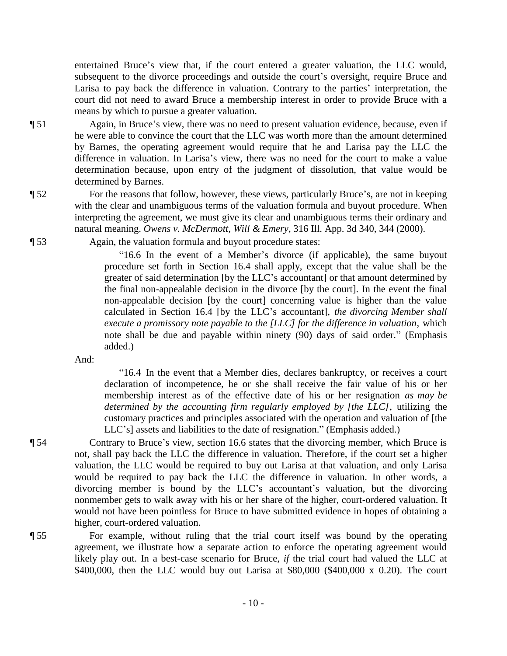entertained Bruce's view that, if the court entered a greater valuation, the LLC would, subsequent to the divorce proceedings and outside the court's oversight, require Bruce and Larisa to pay back the difference in valuation. Contrary to the parties' interpretation, the court did not need to award Bruce a membership interest in order to provide Bruce with a means by which to pursue a greater valuation.

- ¶ 51 Again, in Bruce's view, there was no need to present valuation evidence, because, even if he were able to convince the court that the LLC was worth more than the amount determined by Barnes, the operating agreement would require that he and Larisa pay the LLC the difference in valuation. In Larisa's view, there was no need for the court to make a value determination because, upon entry of the judgment of dissolution, that value would be determined by Barnes.
- 

¶ 52 For the reasons that follow, however, these views, particularly Bruce's, are not in keeping with the clear and unambiguous terms of the valuation formula and buyout procedure. When interpreting the agreement, we must give its clear and unambiguous terms their ordinary and natural meaning. *Owens v. McDermott, Will & Emery*, 316 Ill. App. 3d 340, 344 (2000).

¶ 53 Again, the valuation formula and buyout procedure states:

"16.6 In the event of a Member's divorce (if applicable), the same buyout procedure set forth in Section 16.4 shall apply, except that the value shall be the greater of said determination [by the LLC's accountant] or that amount determined by the final non-appealable decision in the divorce [by the court]. In the event the final non-appealable decision [by the court] concerning value is higher than the value calculated in Section 16.4 [by the LLC's accountant], *the divorcing Member shall execute a promissory note payable to the [LLC] for the difference in valuation*, which note shall be due and payable within ninety (90) days of said order." (Emphasis added.)

And:

"16.4 In the event that a Member dies, declares bankruptcy, or receives a court declaration of incompetence, he or she shall receive the fair value of his or her membership interest as of the effective date of his or her resignation *as may be determined by the accounting firm regularly employed by [the LLC]*, utilizing the customary practices and principles associated with the operation and valuation of [the LLC's] assets and liabilities to the date of resignation." (Emphasis added.)

¶ 54 Contrary to Bruce's view, section 16.6 states that the divorcing member, which Bruce is not, shall pay back the LLC the difference in valuation. Therefore, if the court set a higher valuation, the LLC would be required to buy out Larisa at that valuation, and only Larisa would be required to pay back the LLC the difference in valuation. In other words, a divorcing member is bound by the LLC's accountant's valuation, but the divorcing nonmember gets to walk away with his or her share of the higher, court-ordered valuation. It would not have been pointless for Bruce to have submitted evidence in hopes of obtaining a higher, court-ordered valuation.

¶ 55 For example, without ruling that the trial court itself was bound by the operating agreement, we illustrate how a separate action to enforce the operating agreement would likely play out. In a best-case scenario for Bruce, *if* the trial court had valued the LLC at \$400,000, then the LLC would buy out Larisa at \$80,000 (\$400,000 x 0.20). The court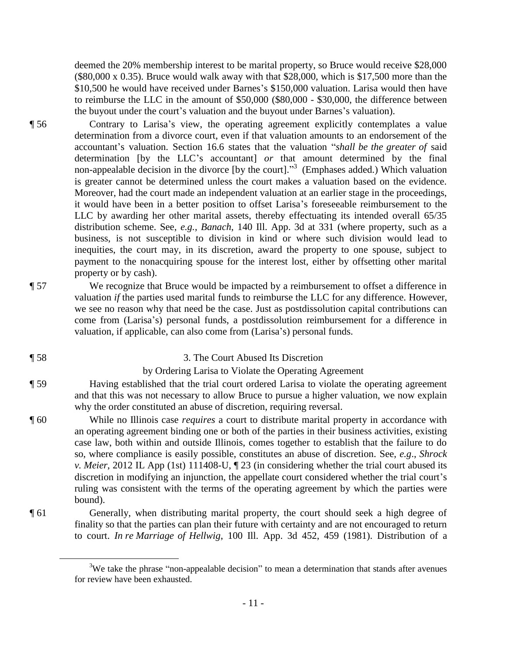deemed the 20% membership interest to be marital property, so Bruce would receive \$28,000  $(\$80,000 \times 0.35)$ . Bruce would walk away with that \$28,000, which is \$17,500 more than the \$10,500 he would have received under Barnes's \$150,000 valuation. Larisa would then have to reimburse the LLC in the amount of \$50,000 (\$80,000 - \$30,000, the difference between the buyout under the court's valuation and the buyout under Barnes's valuation).

¶ 56 Contrary to Larisa's view, the operating agreement explicitly contemplates a value determination from a divorce court, even if that valuation amounts to an endorsement of the accountant's valuation. Section 16.6 states that the valuation "*shall be the greater of* said determination [by the LLC's accountant] *or* that amount determined by the final non-appealable decision in the divorce [by the court]."<sup>3</sup> (Emphases added.) Which valuation is greater cannot be determined unless the court makes a valuation based on the evidence. Moreover, had the court made an independent valuation at an earlier stage in the proceedings, it would have been in a better position to offset Larisa's foreseeable reimbursement to the LLC by awarding her other marital assets, thereby effectuating its intended overall 65/35 distribution scheme. See, *e.g.*, *Banach*, 140 Ill. App. 3d at 331 (where property, such as a business, is not susceptible to division in kind or where such division would lead to inequities, the court may, in its discretion, award the property to one spouse, subject to payment to the nonacquiring spouse for the interest lost, either by offsetting other marital property or by cash).

¶ 57 We recognize that Bruce would be impacted by a reimbursement to offset a difference in

 $\overline{a}$ 

¶ 58 3. The Court Abused Its Discretion

valuation, if applicable, can also come from (Larisa's) personal funds.

## by Ordering Larisa to Violate the Operating Agreement

valuation *if* the parties used marital funds to reimburse the LLC for any difference. However, we see no reason why that need be the case. Just as postdissolution capital contributions can come from (Larisa's) personal funds, a postdissolution reimbursement for a difference in

¶ 59 Having established that the trial court ordered Larisa to violate the operating agreement and that this was not necessary to allow Bruce to pursue a higher valuation, we now explain why the order constituted an abuse of discretion, requiring reversal.

¶ 60 While no Illinois case *requires* a court to distribute marital property in accordance with an operating agreement binding one or both of the parties in their business activities, existing case law, both within and outside Illinois, comes together to establish that the failure to do so, where compliance is easily possible, constitutes an abuse of discretion. See, *e.g*., *Shrock v. Meier*, 2012 IL App (1st) 111408-U, ¶ 23 (in considering whether the trial court abused its discretion in modifying an injunction, the appellate court considered whether the trial court's ruling was consistent with the terms of the operating agreement by which the parties were bound).

¶ 61 Generally, when distributing marital property, the court should seek a high degree of finality so that the parties can plan their future with certainty and are not encouraged to return to court. *In re Marriage of Hellwig*, 100 Ill. App. 3d 452, 459 (1981). Distribution of a

<sup>&</sup>lt;sup>3</sup>We take the phrase "non-appealable decision" to mean a determination that stands after avenues for review have been exhausted.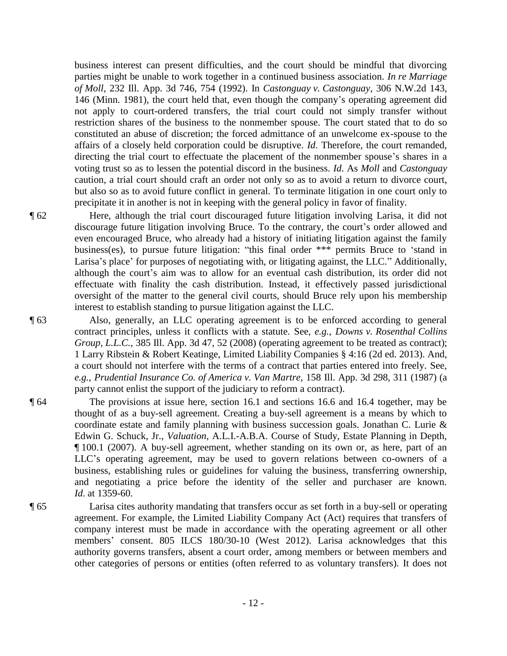business interest can present difficulties, and the court should be mindful that divorcing parties might be unable to work together in a continued business association. *In re Marriage of Moll*, 232 Ill. App. 3d 746, 754 (1992). In *Castonguay v. Castonguay*, 306 N.W.2d 143, 146 (Minn. 1981), the court held that, even though the company's operating agreement did not apply to court-ordered transfers, the trial court could not simply transfer without restriction shares of the business to the nonmember spouse. The court stated that to do so constituted an abuse of discretion; the forced admittance of an unwelcome ex-spouse to the affairs of a closely held corporation could be disruptive. *Id*. Therefore, the court remanded, directing the trial court to effectuate the placement of the nonmember spouse's shares in a voting trust so as to lessen the potential discord in the business. *Id*. As *Moll* and *Castonguay* caution, a trial court should craft an order not only so as to avoid a return to divorce court, but also so as to avoid future conflict in general. To terminate litigation in one court only to precipitate it in another is not in keeping with the general policy in favor of finality.

¶ 62 Here, although the trial court discouraged future litigation involving Larisa, it did not discourage future litigation involving Bruce. To the contrary, the court's order allowed and even encouraged Bruce, who already had a history of initiating litigation against the family business(es), to pursue future litigation: "this final order \*\*\* permits Bruce to 'stand in Larisa's place' for purposes of negotiating with, or litigating against, the LLC." Additionally, although the court's aim was to allow for an eventual cash distribution, its order did not effectuate with finality the cash distribution. Instead, it effectively passed jurisdictional oversight of the matter to the general civil courts, should Bruce rely upon his membership interest to establish standing to pursue litigation against the LLC.

- ¶ 63 Also, generally, an LLC operating agreement is to be enforced according to general contract principles, unless it conflicts with a statute. See, *e.g.*, *Downs v. Rosenthal Collins Group, L.L.C.*, 385 Ill. App. 3d 47, 52 (2008) (operating agreement to be treated as contract); 1 Larry Ribstein & Robert Keatinge, Limited Liability Companies § 4:16 (2d ed. 2013). And, a court should not interfere with the terms of a contract that parties entered into freely. See, *e.g.*, *Prudential Insurance Co. of America v. Van Martre*, 158 Ill. App. 3d 298, 311 (1987) (a party cannot enlist the support of the judiciary to reform a contract).
- ¶ 64 The provisions at issue here, section 16.1 and sections 16.6 and 16.4 together, may be thought of as a buy-sell agreement. Creating a buy-sell agreement is a means by which to coordinate estate and family planning with business succession goals. Jonathan C. Lurie & Edwin G. Schuck, Jr., *Valuation*, A.L.I.-A.B.A. Course of Study, Estate Planning in Depth, ¶ 100.1 (2007). A buy-sell agreement, whether standing on its own or, as here, part of an LLC's operating agreement, may be used to govern relations between co-owners of a business, establishing rules or guidelines for valuing the business, transferring ownership, and negotiating a price before the identity of the seller and purchaser are known. *Id*. at 1359-60.
- ¶ 65 Larisa cites authority mandating that transfers occur as set forth in a buy-sell or operating agreement. For example, the Limited Liability Company Act (Act) requires that transfers of company interest must be made in accordance with the operating agreement or all other members' consent. 805 ILCS 180/30-10 (West 2012). Larisa acknowledges that this authority governs transfers, absent a court order, among members or between members and other categories of persons or entities (often referred to as voluntary transfers). It does not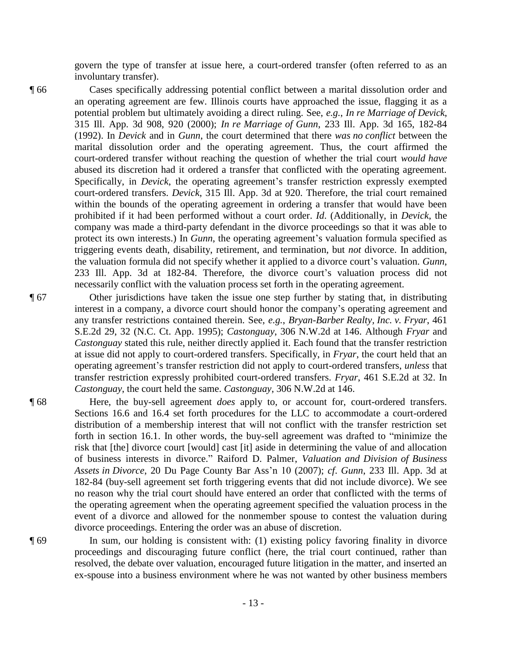govern the type of transfer at issue here, a court-ordered transfer (often referred to as an involuntary transfer).

¶ 66 Cases specifically addressing potential conflict between a marital dissolution order and an operating agreement are few. Illinois courts have approached the issue, flagging it as a potential problem but ultimately avoiding a direct ruling. See, *e.g.*, *In re Marriage of Devick*, 315 Ill. App. 3d 908, 920 (2000); *In re Marriage of Gunn*, 233 Ill. App. 3d 165, 182-84 (1992). In *Devick* and in *Gunn*, the court determined that there *was no conflict* between the marital dissolution order and the operating agreement. Thus, the court affirmed the court-ordered transfer without reaching the question of whether the trial court *would have* abused its discretion had it ordered a transfer that conflicted with the operating agreement. Specifically, in *Devick*, the operating agreement's transfer restriction expressly exempted court-ordered transfers. *Devick*, 315 Ill. App. 3d at 920. Therefore, the trial court remained within the bounds of the operating agreement in ordering a transfer that would have been prohibited if it had been performed without a court order. *Id*. (Additionally, in *Devick*, the company was made a third-party defendant in the divorce proceedings so that it was able to protect its own interests.) In *Gunn*, the operating agreement's valuation formula specified as triggering events death, disability, retirement, and termination, but *not* divorce. In addition, the valuation formula did not specify whether it applied to a divorce court's valuation. *Gunn*, 233 Ill. App. 3d at 182-84. Therefore, the divorce court's valuation process did not necessarily conflict with the valuation process set forth in the operating agreement.

¶ 67 Other jurisdictions have taken the issue one step further by stating that, in distributing interest in a company, a divorce court should honor the company's operating agreement and any transfer restrictions contained therein. See, *e.g.*, *Bryan-Barber Realty, Inc. v. Fryar*, 461 S.E.2d 29, 32 (N.C. Ct. App. 1995); *Castonguay*, 306 N.W.2d at 146. Although *Fryar* and *Castonguay* stated this rule, neither directly applied it. Each found that the transfer restriction at issue did not apply to court-ordered transfers. Specifically, in *Fryar*, the court held that an operating agreement's transfer restriction did not apply to court-ordered transfers, *unless* that transfer restriction expressly prohibited court-ordered transfers. *Fryar*, 461 S.E.2d at 32. In *Castonguay*, the court held the same. *Castonguay*, 306 N.W.2d at 146.

¶ 68 Here, the buy-sell agreement *does* apply to, or account for, court-ordered transfers. Sections 16.6 and 16.4 set forth procedures for the LLC to accommodate a court-ordered distribution of a membership interest that will not conflict with the transfer restriction set forth in section 16.1. In other words, the buy-sell agreement was drafted to "minimize the risk that [the] divorce court [would] cast [it] aside in determining the value of and allocation of business interests in divorce." Raiford D. Palmer, *Valuation and Division of Business Assets in Divorce*, 20 Du Page County Bar Ass'n 10 (2007); *cf*. *Gunn*, 233 Ill. App. 3d at 182-84 (buy-sell agreement set forth triggering events that did not include divorce). We see no reason why the trial court should have entered an order that conflicted with the terms of the operating agreement when the operating agreement specified the valuation process in the event of a divorce and allowed for the nonmember spouse to contest the valuation during divorce proceedings. Entering the order was an abuse of discretion.

¶ 69 In sum, our holding is consistent with: (1) existing policy favoring finality in divorce proceedings and discouraging future conflict (here, the trial court continued, rather than resolved, the debate over valuation, encouraged future litigation in the matter, and inserted an ex-spouse into a business environment where he was not wanted by other business members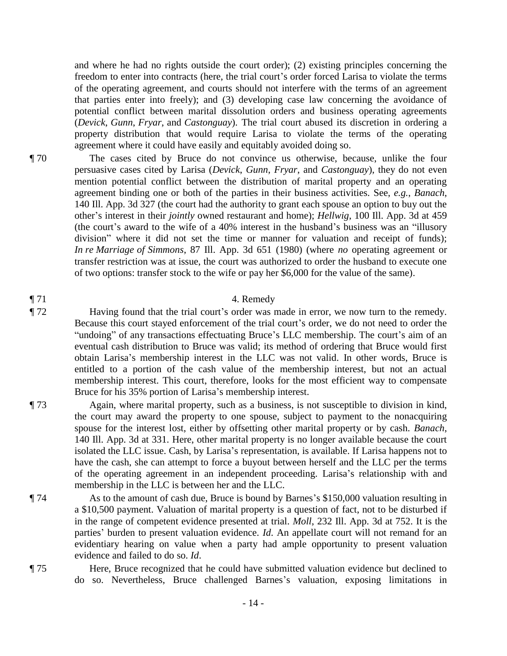and where he had no rights outside the court order); (2) existing principles concerning the freedom to enter into contracts (here, the trial court's order forced Larisa to violate the terms of the operating agreement, and courts should not interfere with the terms of an agreement that parties enter into freely); and (3) developing case law concerning the avoidance of potential conflict between marital dissolution orders and business operating agreements (*Devick*, *Gunn*, *Fryar*, and *Castonguay*). The trial court abused its discretion in ordering a property distribution that would require Larisa to violate the terms of the operating agreement where it could have easily and equitably avoided doing so.

¶ 70 The cases cited by Bruce do not convince us otherwise, because, unlike the four persuasive cases cited by Larisa (*Devick*, *Gunn*, *Fryar*, and *Castonguay*), they do not even mention potential conflict between the distribution of marital property and an operating agreement binding one or both of the parties in their business activities. See, *e.g.*, *Banach*, 140 Ill. App. 3d 327 (the court had the authority to grant each spouse an option to buy out the other's interest in their *jointly* owned restaurant and home); *Hellwig*, 100 Ill. App. 3d at 459 (the court's award to the wife of a 40% interest in the husband's business was an "illusory division" where it did not set the time or manner for valuation and receipt of funds); *In re Marriage of Simmons*, 87 Ill. App. 3d 651 (1980) (where *no* operating agreement or transfer restriction was at issue, the court was authorized to order the husband to execute one of two options: transfer stock to the wife or pay her \$6,000 for the value of the same).

# $\P$  71 4. Remedy

¶ 72 Having found that the trial court's order was made in error, we now turn to the remedy. Because this court stayed enforcement of the trial court's order, we do not need to order the "undoing" of any transactions effectuating Bruce's LLC membership. The court's aim of an eventual cash distribution to Bruce was valid; its method of ordering that Bruce would first obtain Larisa's membership interest in the LLC was not valid. In other words, Bruce is entitled to a portion of the cash value of the membership interest, but not an actual membership interest. This court, therefore, looks for the most efficient way to compensate Bruce for his 35% portion of Larisa's membership interest.

- ¶ 73 Again, where marital property, such as a business, is not susceptible to division in kind, the court may award the property to one spouse, subject to payment to the nonacquiring spouse for the interest lost, either by offsetting other marital property or by cash. *Banach*, 140 Ill. App. 3d at 331. Here, other marital property is no longer available because the court isolated the LLC issue. Cash, by Larisa's representation, is available. If Larisa happens not to have the cash, she can attempt to force a buyout between herself and the LLC per the terms of the operating agreement in an independent proceeding. Larisa's relationship with and membership in the LLC is between her and the LLC.
- ¶ 74 As to the amount of cash due, Bruce is bound by Barnes's \$150,000 valuation resulting in a \$10,500 payment. Valuation of marital property is a question of fact, not to be disturbed if in the range of competent evidence presented at trial. *Moll*, 232 Ill. App. 3d at 752. It is the parties' burden to present valuation evidence. *Id*. An appellate court will not remand for an evidentiary hearing on value when a party had ample opportunity to present valuation evidence and failed to do so. *Id*.

¶ 75 Here, Bruce recognized that he could have submitted valuation evidence but declined to do so. Nevertheless, Bruce challenged Barnes's valuation, exposing limitations in